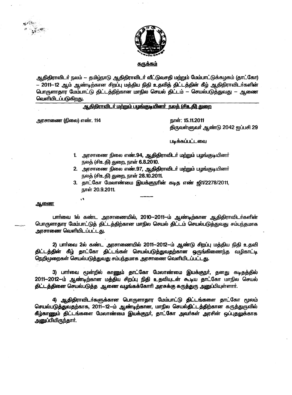



<u>சுருக்கம்</u>

ஆதிதிராவிடர் நலம் — தமிழ்நாடு ஆதிதிராவிடர் வீட்டுவசதி மற்றும் மேம்பாட்டுக்கழகம் (தாட்கோ) — 2011—12 ஆம் ஆண்டிற்கான சிறப்பு மத்திய நிதி உதவித் திட்டத்தின் கீழ் ஆதிதிராவிடர்களின் பொருளாதார மேம்பாட்டு திட்டத்திற்கான மாநில செயல் திட்டம் -- செயல்படுத்துவது -- ஆணை வெளியிடப்படுகிறது.

ஆதிதிராவிடர் மற்றும் பழங்குடியினர் நலத் (சிஉதி) துறை

அரசாணை (நிலை) எண். 114

நாள்: 15.11.2011 திருவள்ளுவர் ஆண்டு 2042 ஐப்பசி 29

படிக்கப்பட்டவை

- 1. அரசாணை நிலை எண்.94, ஆதிதிராவிடர் மற்றும் பழங்குடியினர் நலத் (சிஉதி) துறை, நாள் 6.8.2010.
- 2. அரசாணை நிலை எண்.97, ஆதிதிராவிடர் மற்றும் பழங்குடியினர் நலத் (சிஉதி) துறை, நாள் 28.10.2011.
- 3. தாட்கோ மேலாண்மை இயக்குநரின் கடித எண் ஜி1/2278/2011, நாள் 20.9.2011.

ஆணை

பாா்வை 1ல் கண்ட அரசாணையில், 2010--2011--ம் ஆண்டிற்கான ஆதிதிராவிடா்களின் பொருளாதார மேம்பாட்டுத் திட்டத்திற்கான மாநில செயல் திட்டம் செயல்படுத்துவது சம்பந்தமாக அரசாணை வெளியிடப்பட்டது.

2) பாா்வை 2ல் கண்ட அரசாணையில் 2011--2012--ம் ஆண்டு சிறப்பு மத்திய நிதி உதவி திட்டத்தின் கீழ் தாட்கோ திட்டங்கள் செயல்படுத்துவதற்கான ஒருங்கிணைந்த வழிகாட்டி நெறிமுறைகள் செயல்படுத்துவது சம்பந்தமாக அரசாணை வெளியிடப்பட்டது.

3) பாா்வை மூன்றில் காணும் தாட்கோ மேலாண்மை இயக்குநா், தனது கடிதத்தில் 2011--2012-ம் ஆண்டிற்கான மத்திய சிறப்பு நிதி உதவியுடன் கூடிய தாட்கோ மாநில செயல் திட்டத்தினை செயல்படுத்த ஆணை வழங்கக்கோரி அரசுக்கு கருத்துரு அனுப்பியுள்ளார்.

4) ஆதிதிராவிடர்களுக்கான பொருளாதார மேம்பாட்டு திட்டங்களை தாட்கோ மூலம் செயல்படுத்துவதற்காக, 2011--12--ம் ஆண்டிற்கான, மாநில செயல்திட்டத்திற்கான கருத்துருவில் கீழ்காணும் திட்டங்களை மேலாண்மை இயக்குநா், தாட்கோ அவா்கள் அரசின் ஒப்புதலுக்காக அனுப்பியிருந்தார்.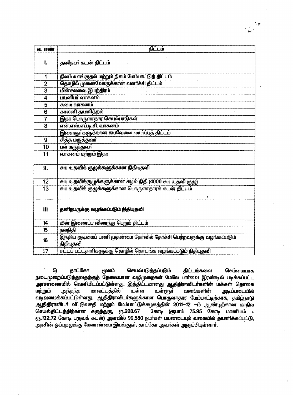| வ. எண்                  | திட்டம்                                                                              |  |  |  |  |  |  |  |
|-------------------------|--------------------------------------------------------------------------------------|--|--|--|--|--|--|--|
| l.                      | தனிநபர் கடன் திட்டம்                                                                 |  |  |  |  |  |  |  |
| 1                       | நிலம் வாங்குதல் மற்றும் நிலம் மேம்பாட்டுத் திட்டம்                                   |  |  |  |  |  |  |  |
| $\overline{2}$          | தொழில் முனைவோருக்கான வளர்ச்சி திட்டம்                                                |  |  |  |  |  |  |  |
| $\overline{3}$          | மின்சலவை இயந்திரம்                                                                   |  |  |  |  |  |  |  |
| $\overline{\mathbf{4}}$ | பயனீயா் வாகனம்                                                                       |  |  |  |  |  |  |  |
| 5                       | சுமை வாகனம்                                                                          |  |  |  |  |  |  |  |
| $\overline{6}$          | காலனி தயாரித்தல்                                                                     |  |  |  |  |  |  |  |
| $\overline{7}$          | இதர பொருளாதார செயல்பாடுகள்                                                           |  |  |  |  |  |  |  |
| 8                       | என்.எஸ்.எப்.டி.சி. வாகனம்                                                            |  |  |  |  |  |  |  |
|                         | இளைஞாகளுக்கான கயவேலை வாய்ப்புத் திட்டம்                                              |  |  |  |  |  |  |  |
| 9                       | சித்த மருத்துவா                                                                      |  |  |  |  |  |  |  |
| 10                      | பல் மருத்துவா்                                                                       |  |  |  |  |  |  |  |
| 11                      | வாகனம் மற்றும் இதர                                                                   |  |  |  |  |  |  |  |
| И.                      | சுய உதவிக் குழுக்களுக்கான நிதியுதவி                                                  |  |  |  |  |  |  |  |
| 12                      | சுய உதவிக்குழுக்களுக்கான சுழல் நிதி (4000 சுய உதவி குழு)                             |  |  |  |  |  |  |  |
| 13                      | சுய உதவிக் குழுக்களுக்கான பொருளாதாரக் கடன் திட்டம்                                   |  |  |  |  |  |  |  |
| $\mathbf{m}$            | தனிநபருக்கு வழங்கப்படும் நிதியுதவி                                                   |  |  |  |  |  |  |  |
| 14                      | மின் இணைப்பு விரைந்து பெறும் திட்டம்                                                 |  |  |  |  |  |  |  |
| 15                      | நலநிதி                                                                               |  |  |  |  |  |  |  |
| 16                      | இந்திய குடிமைப் பணி முதன்மை தேர்வில் தேர்ச்சி பெற்றவருக்கு வழங்கப்படும்<br>நிதியுதவி |  |  |  |  |  |  |  |
| 17                      | சட்டப் பட்டதாாிகளுக்கு தொழில் தொடங்க வழங்கப்படும் நிதியுதவி                          |  |  |  |  |  |  |  |

5) தாட்கோ மூலம் செயல்படுத்தப்படும் திட்டங்களை செம்மையாக நடைமுறைப்படுத்துவதற்குத் தேவையான வழிமுறைகள் மேலே பார்வை இரண்டில் படிக்கப்பட்ட அரசாணையில் வெளியிடப்பட்டுள்ளது. இத்திட்டமானது ஆதிதிராவிடர்களின் மக்கள் தொகை மாவட்டத்தில் உள்ள உள்ளூர் மற்றும் அந்தந்த வளங்களின் அடிப்படையில் வடிவமைக்கப்பட்டுள்ளது. ஆதிதிராவிடர்களுக்கான பொருளாதார மேம்பாட்டிற்காக, தமிழ்நாடு ஆதிதிராவிடர் வீட்டுவசதி மற்றும் மேம்பாட்டுக்கழகத்தின் 2011–12 --ம் ஆண்டிற்கான மாநில செயல்திட்டத்திற்கான கருத்துரு, ரூ.208.67 ரூ.132.72 கோடி பருவக் கடன்) அளவில் 90,580 நபர்கள் பயனடையும் வகையில் தயாரிக்கப்பட்டு, அரசின் ஒப்புதலுக்கு மேலாண்மை இயக்குநர், தாட்கோ அவர்கள் அனுப்பியுள்ளார்.

 $\tilde{a}$  $\frac{1}{\sqrt{2}}$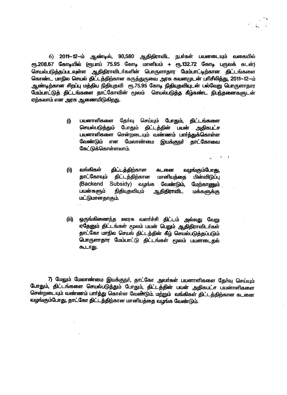6) 2011–12–ம் ஆண்டில், 90,580 ஆதிதிராவிட நபர்கள் பயனடையும் வகையில் ரூ.208.67 கோடியில் (ரூபாய் 75.95 கோடி மானியம் + ரூ.132.72 கோடி பருவக் கடன்) செயல்படுத்தப்படவுள்ள ஆதிதிராவிடா்களின் பொருளாதார மேம்பாட்டிற்கான திட்டங்களை கொண்ட மாநில செயல் திட்டத்திற்கான கருத்துருவை அரசு கவனமுடன் பரிசீலித்து, 2011--12-ம் ஆண்டிற்கான சிறப்பு மத்திய நிதியுதவி ரூ.75.95 கோடி நிதியுதவியுடன் பல்வேறு பொருளாதார மேம்பாட்டுத் திட்டங்களை தாட்கோவின் மூலம் செயல்படுத்த கீழ்கண்ட நிபந்தனைகளுடன் ஏற்கலாம் என அரசு ஆணையிடுகிறது.

- பயனாளிகளை தேர்வு செய்யும் போதும், **O** திட்டங்களை செயல்படுத்தும் போதும் கிட்டத்தின் பயன் அதிகபட்ச பயனாளிகளை சென்றடையும் வண்ணம் பார்த்துக்கொள்ள வேண்டும் என மேலாண்மை இயக்குநா் தாட்கோவை கேட்டுக்கொள்ளலாம்.
- வங்கிகள் திட்டத்திற்கான (ii) கடனை வழங்கும்போ<u>து</u>, தாட்கோவும் திட்டத்திற்கான மானியத்தை பின்விடுப்பு Subsidy) வழங்க (Backend வேண்டும். மேற்காணும் பயன்களும் நிதியுதவியும் ஆதிதிராவிட **மக்களுக்கு** மட்டுமானதாகும்.
- $(i)$ ஒருங்கிணைந்த ஊரக வளர்ச்சி திட்டம் அல்லது வேறு ஏதேனும் திட்டங்கள் மூலம் பயன் பெறும் ஆதிதிராவிடர்கள் தாட்கோ மாநில செயல் திட்டத்தின் கீழ் செயல்படுத்தப்படும் பொருளாதார மேம்பாட்டு திட்டங்கள் மூலம் பயனடைகல் கூடாது.

7) மேலும் மேலாண்மை இயக்குநா், தாட்கோ அவா்கள் பயனாளிகளை தோ்வு செய்யும் போதும், திட்டங்களை செயல்படுத்தும் போதும், திட்டத்தின் பயன் அதிகபட்ச பயனாளிகளை சென்றடையும் வண்ணம் பார்த்து கொள்ள வேண்டும். மற்றும் வங்கிகள் திட்டத்திற்கான கடனை வழங்கும்போது, தாட்கோ திட்டத்திற்கான மானியத்தை வழங்க வேண்டும்.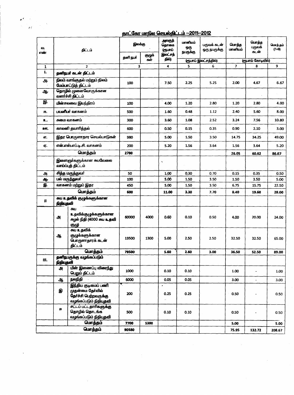## தாட்கோ மாநில செயல்திட்டம் -- 2011-- 2012

 $\boldsymbol{g}_t$ 

 $\mathbb{Z}_p$ 

| QT.<br>எண்   | திட்டம்                                               |                                                                                            | இலக்கு   |               | அலகுத்<br>தொகை<br>ளுபாப் | மானியம்<br>ஒரு<br>நபருக்கு | பருவக் கடன்<br>ஒரு நபருக்கு | மொத்த<br>மானியம் | மொத்த<br>பருவக்<br>கடன் | மொத்தம்<br>$(7+8)$ |
|--------------|-------------------------------------------------------|--------------------------------------------------------------------------------------------|----------|---------------|--------------------------|----------------------------|-----------------------------|------------------|-------------------------|--------------------|
|              |                                                       |                                                                                            | தனி நபர் | குழுக்<br>கள் | இலட்சத்<br>தில்)         | (ரூபாய் இலட்சத்தில்)       |                             |                  | (ரூபாய் கோடியில்)       |                    |
| $\mathbf{1}$ | $\overline{2}$                                        |                                                                                            | 3        |               | $\overline{\mathbf{4}}$  | 5                          | 6                           | $\overline{7}$   | 8                       | 9                  |
| 1.           |                                                       | தனிநபர் கடன் திட்டம்                                                                       |          |               |                          |                            |                             |                  |                         |                    |
| ௮            | நிலம் வாங்குதல் மற்றும் நிலம்<br>மேம்பாட்டுத் திட்டம் |                                                                                            | 100      |               | 7.50                     | 2.25                       | 5.25                        | 2.00             | 4.67                    | 6.67               |
| ஆட           | தொழில் முனைவோருக்கான<br>வளர்ச்சி திட்டம்              |                                                                                            |          |               |                          |                            |                             |                  |                         |                    |
| இ            | மின்சலவை இயந்திரம்                                    |                                                                                            | 100      |               | 4.00                     | 1.20                       | 2.80                        | 1.20             | 2.80                    | 4.00               |
| 厈.           | பயனிபா வாகனம்                                         |                                                                                            | 500      |               | 1.60                     | 0.48                       | 1.12                        | 2.40             | 5.60                    | 8.00               |
| 으.           | சுமை வாகனம்                                           |                                                                                            | 300      |               | 3.60                     | 1.08                       | 2.52                        | 3.24             | 7.56                    | 10.80              |
| <u>981.</u>  | காலனி தயாரித்தல்                                      |                                                                                            | 600      |               | 0.50                     | 0.15                       | 0.35                        | 0.90             | 2.10                    | 3.00               |
| எ.           | இதர பொருளாதார செயல்பாடுகள்                            |                                                                                            | 980      |               | 5.00                     | 1.50                       | 3.50                        | 14.75            | 34.25                   | 49.00              |
| ஏ.           | என்.எஸ்.எப்.டி.சி. வாகனம்                             |                                                                                            | 200      |               | 5.20                     | 1.56                       | 3.64                        | 1.56             | 3.64                    | 5.20               |
|              | மொத்தம்                                               |                                                                                            | 2780     |               |                          |                            |                             | 26.05            | 60.62                   | 86.67              |
|              | இளைஞர்களுக்கான சுயவேலை<br>வாய்ப்புத் திட்டம்          |                                                                                            |          |               | $\overline{\phantom{a}}$ |                            |                             |                  |                         |                    |
| அ            |                                                       | சித்த மருத்துவர்                                                                           | 50       |               | 1.00                     | 0.30                       | 0.70                        | 0.15             | 0.35                    | 0.50               |
| ஆ            |                                                       | பல் மருத்துவர்                                                                             |          |               | 5.00                     | 1.50                       | 3.50                        | 1.50             | 3.50                    | 5.00               |
| இ            | வாகனம் மற்றும் இதர                                    |                                                                                            | 450      |               | 5.00                     | 1.50                       | 3.50                        | 6.75             | 15.75                   | 22.50              |
|              |                                                       | மொத்தம்                                                                                    | 600      |               | 11.00                    | 3.30                       | 7.70                        | 8.40             | 19.60                   | 28.00              |
| $\mathbf{H}$ | நிதியுதலி                                             | சுய உதவிக் குழுக்களுக்காள                                                                  |          |               |                          |                            |                             |                  |                         |                    |
|              | அ                                                     | சுய<br>உதவிக்குழுக்களுக்கான<br>சுழல் நிதி (4000 சுய உதவி<br>குழு                           | 60000    | 4000          | 0.60                     | 0.10                       | 0.50                        | 4.00             | 20.00                   | 24.00              |
|              | $\clubsuit$                                           | சுய உதவிக்<br>குழுக்களுக்கான<br>பொருளாதாரக் கடன்<br>கிட்டம்                                | 19500    | 1300          | 5.00                     | 2.50                       | 2.50                        | 32.50            | 32.50                   | 65.00              |
|              |                                                       | மொத்தம்                                                                                    | 79500    |               | 5.60                     | 2.60                       | 3.00                        | 36.50            | 52.50                   | 89.00              |
| Ш.           | தனிநபருக்கு வழங்கப்படும்<br>நிதிபுதவி                 |                                                                                            |          |               |                          |                            |                             |                  |                         |                    |
|              | அ                                                     | மின் இணைப்பு விரைந்து<br>பெறும் திட்டம்                                                    | 1000     |               | 0.10                     | 0.10                       |                             | 1.00             | $\blacksquare$          | 1.00               |
|              | ஆ                                                     | நலநிதி                                                                                     | 6000     |               | 0.05                     | 0.05                       |                             | 3.00             | $\equiv$                | 3.00               |
|              | இ                                                     | இந்திய குடிமைப் பணி<br>முதன்மை தேர்வில்<br>தேர்ச்சி பெற்றவருக்கு<br>வழங்கப்படும் நிதியுதவி | 200      |               | 0.25                     | 0.25                       |                             | 0.50             |                         | 0.50               |
|              | Æ                                                     | சட்டப் பட்டதாரிகளுக்கு<br>தொழில் தொடங்க<br>வழங்கப்படும் நிதியுதவி                          | 500      |               | 0.10                     | 0.10                       |                             | 0.50             |                         | 0.50               |
|              |                                                       | மொத்தம்                                                                                    | 7700     | 5300          |                          |                            |                             | 5.00             |                         | 5.00               |
| மொத்தம்      |                                                       | 90580                                                                                      |          |               |                          |                            | 75.95                       | 132.72           | 208.67                  |                    |